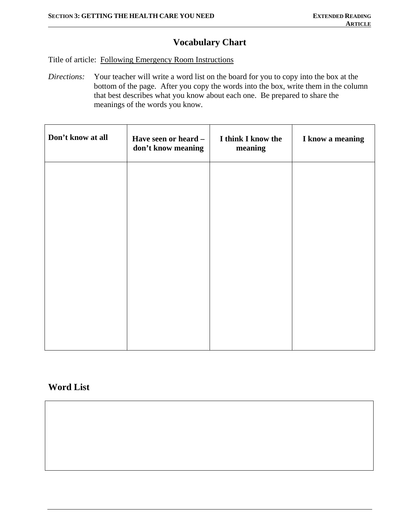# **Vocabulary Chart**

Title of article: Following Emergency Room Instructions

*Directions:* Your teacher will write a word list on the board for you to copy into the box at the bottom of the page. After you copy the words into the box, write them in the column that best describes what you know about each one. Be prepared to share the meanings of the words you know.

| Don't know at all | Have seen or heard -<br>don't know meaning | I think I know the<br>meaning | I know a meaning |
|-------------------|--------------------------------------------|-------------------------------|------------------|
|                   |                                            |                               |                  |
|                   |                                            |                               |                  |
|                   |                                            |                               |                  |
|                   |                                            |                               |                  |
|                   |                                            |                               |                  |

## **Word List**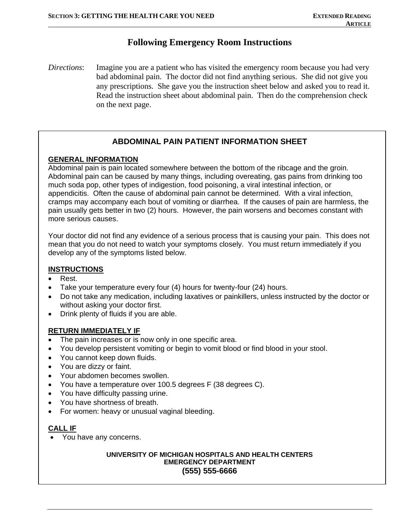### **Following Emergency Room Instructions**

*Directions*: Imagine you are a patient who has visited the emergency room because you had very bad abdominal pain. The doctor did not find anything serious. She did not give you any prescriptions. She gave you the instruction sheet below and asked you to read it. Read the instruction sheet about abdominal pain. Then do the comprehension check on the next page.

### **ABDOMINAL PAIN PATIENT INFORMATION SHEET**

### **GENERAL INFORMATION**

Abdominal pain is pain located somewhere between the bottom of the ribcage and the groin. Abdominal pain can be caused by many things, including overeating, gas pains from drinking too much soda pop, other types of indigestion, food poisoning, a viral intestinal infection, or appendicitis. Often the cause of abdominal pain cannot be determined. With a viral infection, cramps may accompany each bout of vomiting or diarrhea. If the causes of pain are harmless, the pain usually gets better in two (2) hours. However, the pain worsens and becomes constant with more serious causes.

Your doctor did not find any evidence of a serious process that is causing your pain. This does not mean that you do not need to watch your symptoms closely. You must return immediately if you develop any of the symptoms listed below.

#### **INSTRUCTIONS**

- Rest.
- Take your temperature every four (4) hours for twenty-four (24) hours.
- Do not take any medication, including laxatives or painkillers, unless instructed by the doctor or without asking your doctor first.
- Drink plenty of fluids if you are able.

#### **RETURN IMMEDIATELY IF**

- The pain increases or is now only in one specific area.
- You develop persistent vomiting or begin to vomit blood or find blood in your stool.
- You cannot keep down fluids.
- You are dizzy or faint.
- Your abdomen becomes swollen.
- You have a temperature over 100.5 degrees F (38 degrees C).
- You have difficulty passing urine.
- You have shortness of breath.
- For women: heavy or unusual vaginal bleeding.

#### **CALL IF**

• You have any concerns.

#### **UNIVERSITY OF MICHIGAN HOSPITALS AND HEALTH CENTERS EMERGENCY DEPARTMENT (555) 555-6666**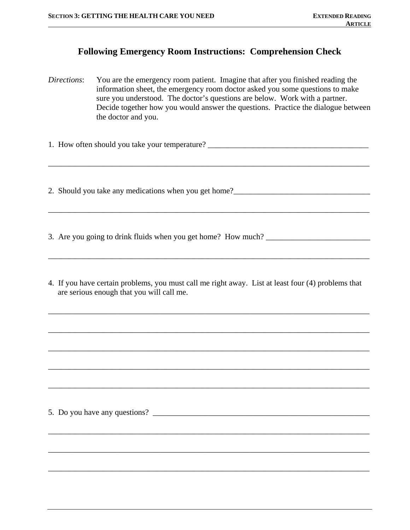### **Following Emergency Room Instructions: Comprehension Check**

*Directions*: You are the emergency room patient. Imagine that after you finished reading the information sheet, the emergency room doctor asked you some questions to make sure you understood. The doctor's questions are below. Work with a partner. Decide together how you would answer the questions. Practice the dialogue between the doctor and you.

\_\_\_\_\_\_\_\_\_\_\_\_\_\_\_\_\_\_\_\_\_\_\_\_\_\_\_\_\_\_\_\_\_\_\_\_\_\_\_\_\_\_\_\_\_\_\_\_\_\_\_\_\_\_\_\_\_\_\_\_\_\_\_\_\_\_\_\_\_\_\_\_\_\_\_\_\_\_\_\_

\_\_\_\_\_\_\_\_\_\_\_\_\_\_\_\_\_\_\_\_\_\_\_\_\_\_\_\_\_\_\_\_\_\_\_\_\_\_\_\_\_\_\_\_\_\_\_\_\_\_\_\_\_\_\_\_\_\_\_\_\_\_\_\_\_\_\_\_\_\_\_\_\_\_\_\_\_\_\_\_

\_\_\_\_\_\_\_\_\_\_\_\_\_\_\_\_\_\_\_\_\_\_\_\_\_\_\_\_\_\_\_\_\_\_\_\_\_\_\_\_\_\_\_\_\_\_\_\_\_\_\_\_\_\_\_\_\_\_\_\_\_\_\_\_\_\_\_\_\_\_\_\_\_\_\_\_\_\_\_\_

1. How often should you take your temperature? \_\_\_\_\_\_\_\_\_\_\_\_\_\_\_\_\_\_\_\_\_\_\_\_\_\_\_\_\_\_\_\_\_

2. Should you take any medications when you get home?\_\_\_\_\_\_\_\_\_\_\_\_\_\_\_\_\_\_\_\_\_\_\_\_\_\_\_\_

3. Are you going to drink fluids when you get home? How much? \_\_\_\_\_\_\_\_\_\_\_\_\_\_\_\_\_\_\_

4. If you have certain problems, you must call me right away. List at least four (4) problems that are serious enough that you will call me.

\_\_\_\_\_\_\_\_\_\_\_\_\_\_\_\_\_\_\_\_\_\_\_\_\_\_\_\_\_\_\_\_\_\_\_\_\_\_\_\_\_\_\_\_\_\_\_\_\_\_\_\_\_\_\_\_\_\_\_\_\_\_\_\_\_\_\_\_\_\_\_\_\_\_\_\_\_\_\_\_

\_\_\_\_\_\_\_\_\_\_\_\_\_\_\_\_\_\_\_\_\_\_\_\_\_\_\_\_\_\_\_\_\_\_\_\_\_\_\_\_\_\_\_\_\_\_\_\_\_\_\_\_\_\_\_\_\_\_\_\_\_\_\_\_\_\_\_\_\_\_\_\_\_\_\_\_\_\_\_\_

\_\_\_\_\_\_\_\_\_\_\_\_\_\_\_\_\_\_\_\_\_\_\_\_\_\_\_\_\_\_\_\_\_\_\_\_\_\_\_\_\_\_\_\_\_\_\_\_\_\_\_\_\_\_\_\_\_\_\_\_\_\_\_\_\_\_\_\_\_\_\_\_\_\_\_\_\_\_\_\_

\_\_\_\_\_\_\_\_\_\_\_\_\_\_\_\_\_\_\_\_\_\_\_\_\_\_\_\_\_\_\_\_\_\_\_\_\_\_\_\_\_\_\_\_\_\_\_\_\_\_\_\_\_\_\_\_\_\_\_\_\_\_\_\_\_\_\_\_\_\_\_\_\_\_\_\_\_\_\_\_

\_\_\_\_\_\_\_\_\_\_\_\_\_\_\_\_\_\_\_\_\_\_\_\_\_\_\_\_\_\_\_\_\_\_\_\_\_\_\_\_\_\_\_\_\_\_\_\_\_\_\_\_\_\_\_\_\_\_\_\_\_\_\_\_\_\_\_\_\_\_\_\_\_\_\_\_\_\_\_\_

\_\_\_\_\_\_\_\_\_\_\_\_\_\_\_\_\_\_\_\_\_\_\_\_\_\_\_\_\_\_\_\_\_\_\_\_\_\_\_\_\_\_\_\_\_\_\_\_\_\_\_\_\_\_\_\_\_\_\_\_\_\_\_\_\_\_\_\_\_\_\_\_\_\_\_\_\_\_\_\_

\_\_\_\_\_\_\_\_\_\_\_\_\_\_\_\_\_\_\_\_\_\_\_\_\_\_\_\_\_\_\_\_\_\_\_\_\_\_\_\_\_\_\_\_\_\_\_\_\_\_\_\_\_\_\_\_\_\_\_\_\_\_\_\_\_\_\_\_\_\_\_\_\_\_\_\_\_\_\_\_

\_\_\_\_\_\_\_\_\_\_\_\_\_\_\_\_\_\_\_\_\_\_\_\_\_\_\_\_\_\_\_\_\_\_\_\_\_\_\_\_\_\_\_\_\_\_\_\_\_\_\_\_\_\_\_\_\_\_\_\_\_\_\_\_\_\_\_\_\_\_\_\_\_\_\_\_\_\_\_\_

5. Do you have any questions?